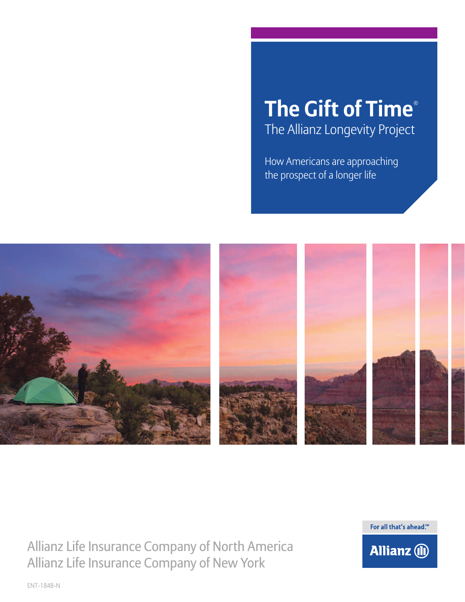#### **The Gift of Time**® The Allianz Longevity Project

How Americans are approaching the prospect of a longer life



Allianz Life Insurance Company of North America Allianz Life Insurance Company of New York

For all that's ahead.<sup>™</sup>



ENT-1848-N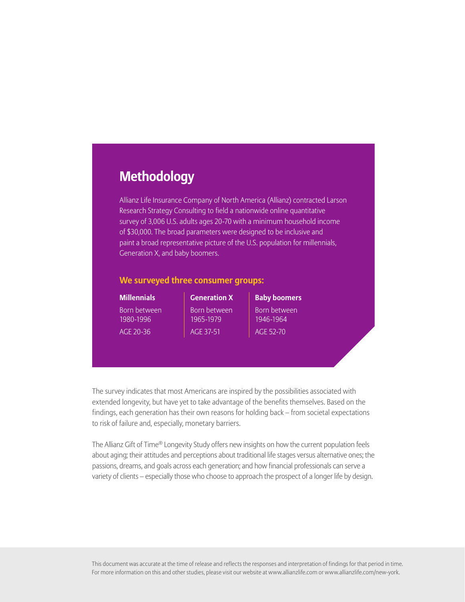#### **Methodology**

Allianz Life Insurance Company of North America (Allianz) contracted Larson Research Strategy Consulting to field a nationwide online quantitative survey of 3,006 U.S. adults ages 20-70 with a minimum household income of \$30,000. The broad parameters were designed to be inclusive and paint a broad representative picture of the U.S. population for millennials, Generation X, and baby boomers.

#### **We surveyed three consumer groups:**

**Millennials** Born between 1980-1996 AGE 20-36

**Generation X** Born between 1965-1979 AGE 37-51

**Baby boomers** Born between 1946-1964 AGE 52-70

The survey indicates that most Americans are inspired by the possibilities associated with extended longevity, but have yet to take advantage of the benefits themselves. Based on the findings, each generation has their own reasons for holding back – from societal expectations to risk of failure and, especially, monetary barriers.

The Allianz Gift of Time® Longevity Study offers new insights on how the current population feels about aging; their attitudes and perceptions about traditional life stages versus alternative ones; the passions, dreams, and goals across each generation; and how financial professionals can serve a variety of clients – especially those who choose to approach the prospect of a longer life by design.

This document was accurate at the time of release and reflects the responses and interpretation of findings for that period in time. For more information on this and other studies, please visit our website at www.allianzlife.com or www.allianzlife.com/new-york.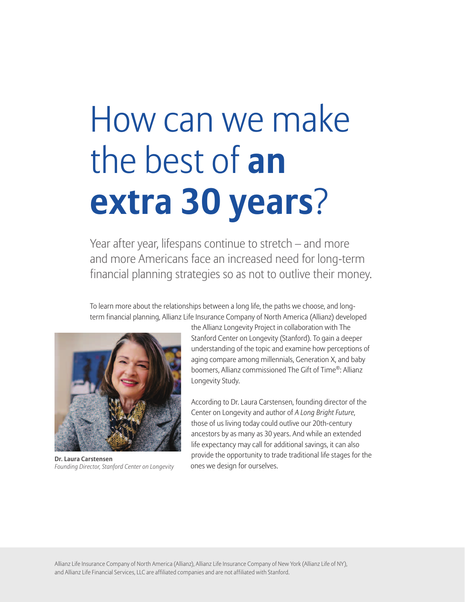# How can we make the best of **an extra 30 years**?

Year after year, lifespans continue to stretch – and more and more Americans face an increased need for long-term financial planning strategies so as not to outlive their money.

To learn more about the relationships between a long life, the paths we choose, and longterm financial planning, Allianz Life Insurance Company of North America (Allianz) developed



**Dr. Laura Carstensen** *Founding Director, Stanford Center on Longevity*

the Allianz Longevity Project in collaboration with The Stanford Center on Longevity (Stanford). To gain a deeper understanding of the topic and examine how perceptions of aging compare among millennials, Generation X, and baby boomers, Allianz commissioned The Gift of Time®: Allianz Longevity Study.

According to Dr. Laura Carstensen, founding director of the Center on Longevity and author of *A Long Bright Future*, those of us living today could outlive our 20th-century ancestors by as many as 30 years. And while an extended life expectancy may call for additional savings, it can also provide the opportunity to trade traditional life stages for the ones we design for ourselves.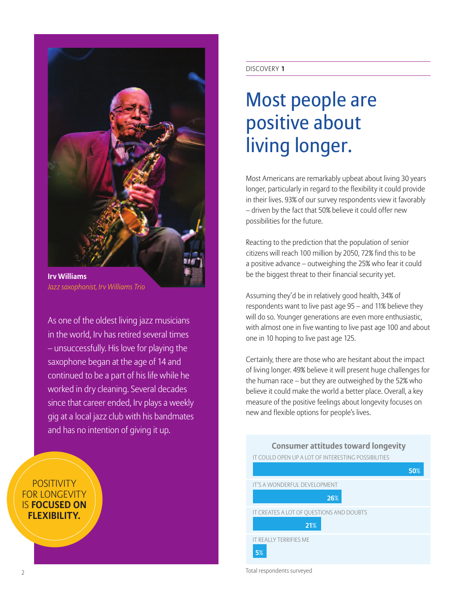

**Irv Williams**  *Jazz saxophonist, Irv Williams Trio*

As one of the oldest living jazz musicians in the world, Irv has retired several times – unsuccessfully. His love for playing the saxophone began at the age of 14 and continued to be a part of his life while he worked in dry cleaning. Several decades since that career ended, Irv plays a weekly gig at a local jazz club with his bandmates and has no intention of giving it up.

**POSITIVITY** FOR LONGEVITY IS **FOCUSED ON FLEXIBILITY.** 

#### DISCOVERY **1**

### Most people are positive about living longer.

Most Americans are remarkably upbeat about living 30 years longer, particularly in regard to the flexibility it could provide in their lives. 93% of our survey respondents view it favorably – driven by the fact that 50% believe it could offer new possibilities for the future.

Reacting to the prediction that the population of senior citizens will reach 100 million by 2050, 72% find this to be a positive advance – outweighing the 25% who fear it could be the biggest threat to their financial security yet.

Assuming they'd be in relatively good health, 34% of respondents want to live past age 95 – and 11% believe they will do so. Younger generations are even more enthusiastic, with almost one in five wanting to live past age 100 and about one in 10 hoping to live past age 125.

Certainly, there are those who are hesitant about the impact of living longer. 49% believe it will present huge challenges for the human race – but they are outweighed by the 52% who believe it could make the world a better place. Overall, a key measure of the positive feelings about longevity focuses on new and flexible options for people's lives.



Total respondents surveyed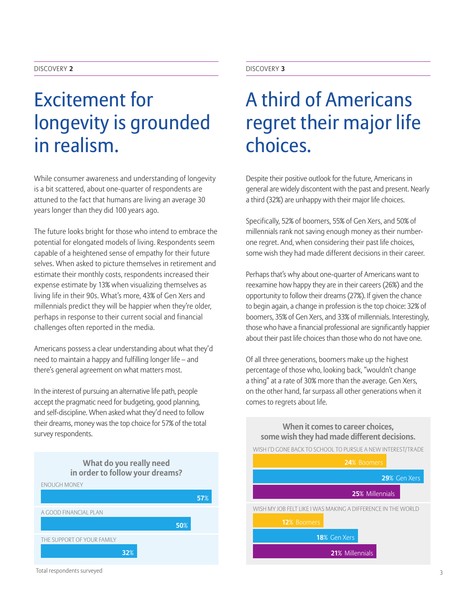### Excitement for longevity is grounded in realism.

While consumer awareness and understanding of longevity is a bit scattered, about one-quarter of respondents are attuned to the fact that humans are living an average 30 years longer than they did 100 years ago.

The future looks bright for those who intend to embrace the potential for elongated models of living. Respondents seem capable of a heightened sense of empathy for their future selves. When asked to picture themselves in retirement and estimate their monthly costs, respondents increased their expense estimate by 13% when visualizing themselves as living life in their 90s. What's more, 43% of Gen Xers and millennials predict they will be happier when they're older, perhaps in response to their current social and financial challenges often reported in the media.

Americans possess a clear understanding about what they'd need to maintain a happy and fulfilling longer life – and there's general agreement on what matters most.

In the interest of pursuing an alternative life path, people accept the pragmatic need for budgeting, good planning, and self-discipline. When asked what they'd need to follow their dreams, money was the top choice for 57% of the total survey respondents.



#### DISCOVERY **3**

### A third of Americans regret their major life choices.

Despite their positive outlook for the future, Americans in general are widely discontent with the past and present. Nearly a third (32%) are unhappy with their major life choices.

Specifically, 52% of boomers, 55% of Gen Xers, and 50% of millennials rank not saving enough money as their numberone regret. And, when considering their past life choices, some wish they had made different decisions in their career.

Perhaps that's why about one-quarter of Americans want to reexamine how happy they are in their careers (26%) and the opportunity to follow their dreams (27%). If given the chance to begin again, a change in profession is the top choice: 32% of boomers, 35% of Gen Xers, and 33% of millennials. Interestingly, those who have a financial professional are significantly happier about their past life choices than those who do not have one.

Of all three generations, boomers make up the highest percentage of those who, looking back, "wouldn't change a thing" at a rate of 30% more than the average. Gen Xers, on the other hand, far surpass all other generations when it comes to regrets about life.

**When it comes to career choices, some wish they had made different decisions.**

WISH I'D GONE BACK TO SCHOOL TO PURSUE A NEW INTEREST/TRADE



Total respondents surveyed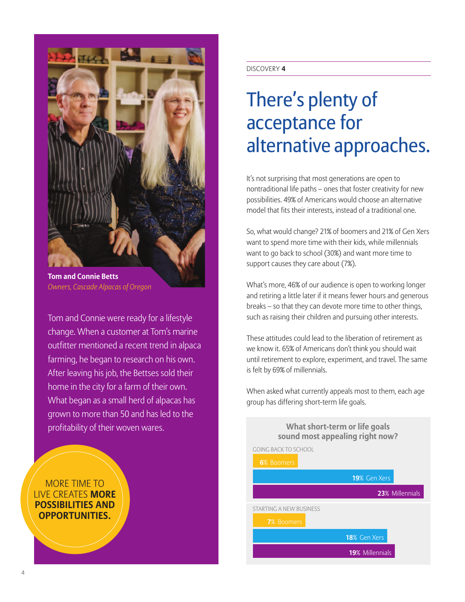

**Tom and Connie Betts**  *Owners, Cascade Alpacas of Oregon*

Tom and Connie were ready for a lifestyle change. When a customer at Tom's marine outfitter mentioned a recent trend in alpaca farming, he began to research on his own. After leaving his job, the Bettses sold their home in the city for a farm of their own. What began as a small herd of alpacas has grown to more than 50 and has led to the profitability of their woven wares.

#### MORE TIME TO LIVE CREATES **MORE POSSIBILITIES AND OPPORTUNITIES.**

#### DISCOVERY **4**

### There's plenty of acceptance for alternative approaches.

It's not surprising that most generations are open to nontraditional life paths – ones that foster creativity for new possibilities. 49% of Americans would choose an alternative model that fits their interests, instead of a traditional one.

So, what would change? 21% of boomers and 21% of Gen Xers want to spend more time with their kids, while millennials want to go back to school (30%) and want more time to support causes they care about (7%).

What's more, 46% of our audience is open to working longer and retiring a little later if it means fewer hours and generous breaks – so that they can devote more time to other things, such as raising their children and pursuing other interests.

These attitudes could lead to the liberation of retirement as we know it. 65% of Americans don't think you should wait until retirement to explore, experiment, and travel. The same is felt by 69% of millennials.

When asked what currently appeals most to them, each age group has differing short-term life goals.

> **What short-term or life goals sound most appealing right now?**

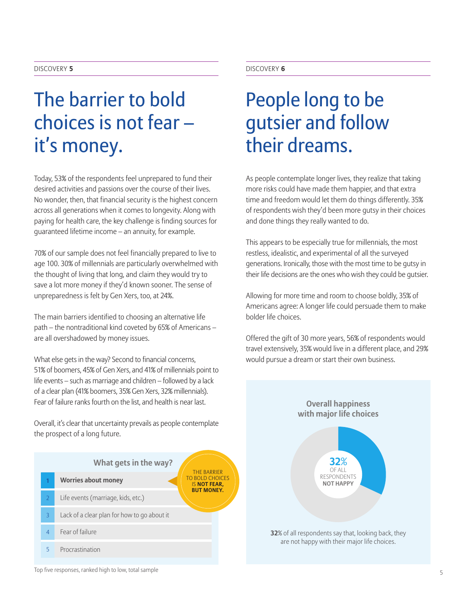### The barrier to bold choices is not fear – it's money.

Today, 53% of the respondents feel unprepared to fund their desired activities and passions over the course of their lives. No wonder, then, that financial security is the highest concern across all generations when it comes to longevity. Along with paying for health care, the key challenge is finding sources for guaranteed lifetime income – an annuity, for example.

70% of our sample does not feel financially prepared to live to age 100. 30% of millennials are particularly overwhelmed with the thought of living that long, and claim they would try to save a lot more money if they'd known sooner. The sense of unpreparedness is felt by Gen Xers, too, at 24%.

The main barriers identified to choosing an alternative life path – the nontraditional kind coveted by 65% of Americans – are all overshadowed by money issues.

What else gets in the way? Second to financial concerns, 51% of boomers, 45% of Gen Xers, and 41% of millennials point to life events – such as marriage and children – followed by a lack of a clear plan (41% boomers, 35% Gen Xers, 32% millennials). Fear of failure ranks fourth on the list, and health is near last.

Overall, it's clear that uncertainty prevails as people contemplate the prospect of a long future.



#### DISCOVERY **6**

### People long to be gutsier and follow their dreams.

As people contemplate longer lives, they realize that taking more risks could have made them happier, and that extra time and freedom would let them do things differently. 35% of respondents wish they'd been more gutsy in their choices and done things they really wanted to do.

This appears to be especially true for millennials, the most restless, idealistic, and experimental of all the surveyed generations. Ironically, those with the most time to be gutsy in their life decisions are the ones who wish they could be gutsier.

Allowing for more time and room to choose boldly, 35% of Americans agree: A longer life could persuade them to make bolder life choices.

Offered the gift of 30 more years, 56% of respondents would travel extensively, 35% would live in a different place, and 29% would pursue a dream or start their own business.



Top five responses, ranked high to low, total sample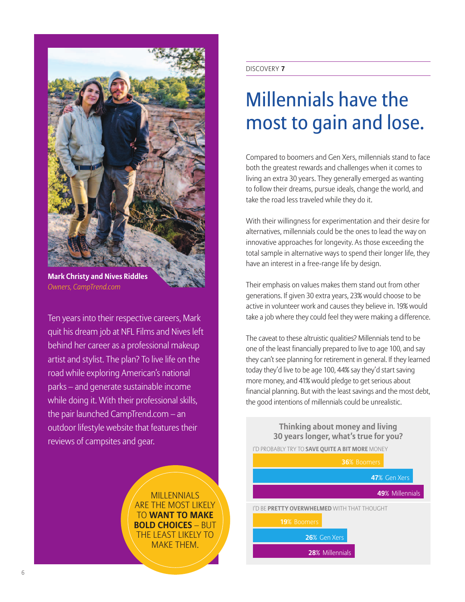

**Mark Christy and Nives Riddles Mark Christy and Nives Riddles**<br>Owners CampTrend.com *Owners, CampTrend.com*

Ten years into their respective careers, Mark **TO MAKE BOLD**  quit his dream job at NFL Films and Nives left behind her career as a professional makeup<br>artist and stulist The plan? To live life an the mart and rijned in plant to me me en are<br>road while exploring American's national parks – and generate sustainable income *Can we get rid of one of these*  while doing it. With their professional skills, *call-outs? -ML* the pair launched CampTrend.com – an artist and stylist. The plan? To live life on the outdoor lifestyle website that features their reviews of campsites and gear.

> INTEREST INTERNATIONAL **ARE THE MOST LIKELY BOLD CHOICES** – BUT MILLENNIALS TO **WANT TO MAKE**  THE LEAST LIKELY TO MAKE THEM.

SHOW THE MOST

#### DISCOVERY **7**

### Millennials have the most to gain and lose.

Compared to boomers and Gen Xers, millennials stand to face both the greatest rewards and challenges when it comes to living an extra 30 years. They generally emerged as wanting to follow their dreams, pursue ideals, change the world, and take the road less traveled while they do it.

With their willingness for experimentation and their desire for alternatives, millennials could be the ones to lead the way on innovative approaches for longevity. As those exceeding the total sample in alternative ways to spend their longer life, they have an interest in a free-range life by design.

Their emphasis on values makes them stand out from other generations. If given 30 extra years, 23% would choose to be active in volunteer work and causes they believe in. 19% would take a job where they could feel they were making a difference.

The caveat to these altruistic qualities? Millennials tend to be one of the least financially prepared to live to age 100, and say they can't see planning for retirement in general. If they learned today they'd live to be age 100, 44% say they'd start saving more money, and 41% would pledge to get serious about financial planning. But with the least savings and the most debt, the good intentions of millennials could be unrealistic.

**Thinking about money and living 30 years longer, what's true for you?** I'D PROBABLY TRY TO **SAVE QUITE A BIT MORE** MONEY

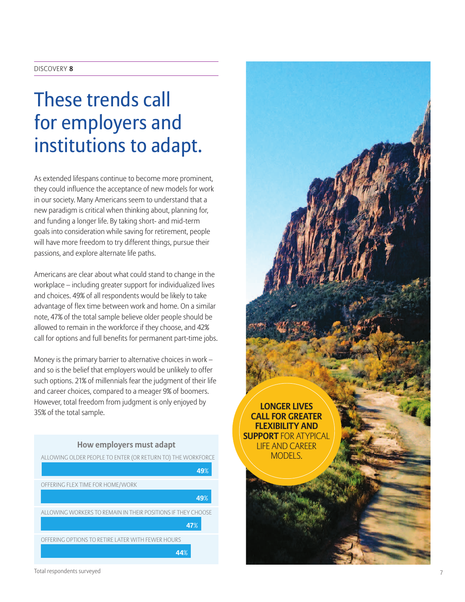#### DISCOVERY **8**

### These trends call for employers and institutions to adapt.

As extended lifespans continue to become more prominent, they could influence the acceptance of new models for work in our society. Many Americans seem to understand that a new paradigm is critical when thinking about, planning for, and funding a longer life. By taking short- and mid-term goals into consideration while saving for retirement, people will have more freedom to try different things, pursue their passions, and explore alternate life paths.

Americans are clear about what could stand to change in the workplace – including greater support for individualized lives and choices. 49% of all respondents would be likely to take advantage of flex time between work and home. On a similar note, 47% of the total sample believe older people should be allowed to remain in the workforce if they choose, and 42% call for options and full benefits for permanent part-time jobs.

Money is the primary barrier to alternative choices in work – and so is the belief that employers would be unlikely to offer such options. 21% of millennials fear the judgment of their life and career choices, compared to a meager 9% of boomers. However, total freedom from judgment is only enjoyed by 35% of the total sample. **LONGER LIVES** 

#### **How employers must adapt**



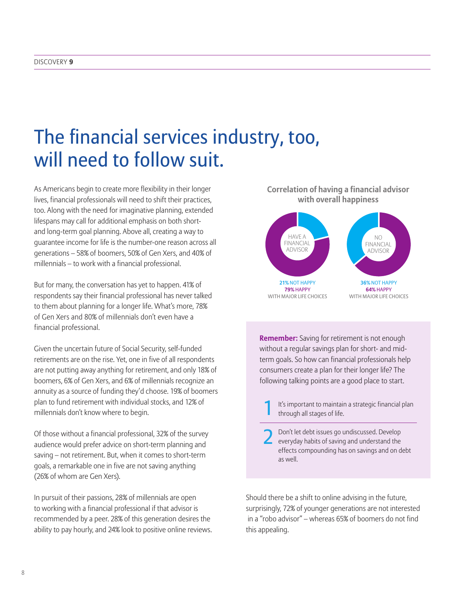### The financial services industry, too, will need to follow suit.

As Americans begin to create more flexibility in their longer lives, financial professionals will need to shift their practices, too. Along with the need for imaginative planning, extended lifespans may call for additional emphasis on both shortand long-term goal planning. Above all, creating a way to guarantee income for life is the number-one reason across all generations – 58% of boomers, 50% of Gen Xers, and 40% of millennials – to work with a financial professional.

But for many, the conversation has yet to happen. 41% of respondents say their financial professional has never talked to them about planning for a longer life. What's more, 78% of Gen Xers and 80% of millennials don't even have a financial professional.

Given the uncertain future of Social Security, self-funded retirements are on the rise. Yet, one in five of all respondents are not putting away anything for retirement, and only 18% of boomers, 6% of Gen Xers, and 6% of millennials recognize an annuity as a source of funding they'd choose. 19% of boomers plan to fund retirement with individual stocks, and 12% of millennials don't know where to begin.

Of those without a financial professional, 32% of the survey audience would prefer advice on short-term planning and saving – not retirement. But, when it comes to short-term goals, a remarkable one in five are not saving anything (26% of whom are Gen Xers).

In pursuit of their passions, 28% of millennials are open to working with a financial professional if that advisor is recommended by a peer. 28% of this generation desires the ability to pay hourly, and 24% look to positive online reviews.





**Remember:** Saving for retirement is not enough without a regular savings plan for short- and midterm goals. So how can financial professionals help consumers create a plan for their longer life? The following talking points are a good place to start.

- It's important to maintain a strategic financial plan through all stages of life.
- 2 Don't let debt issues go undiscussed. Develop everyday habits of saving and understand the effects compounding has on savings and on debt as well.

Should there be a shift to online advising in the future, surprisingly, 72% of younger generations are not interested in a "robo advisor" – whereas 65% of boomers do not find this appealing.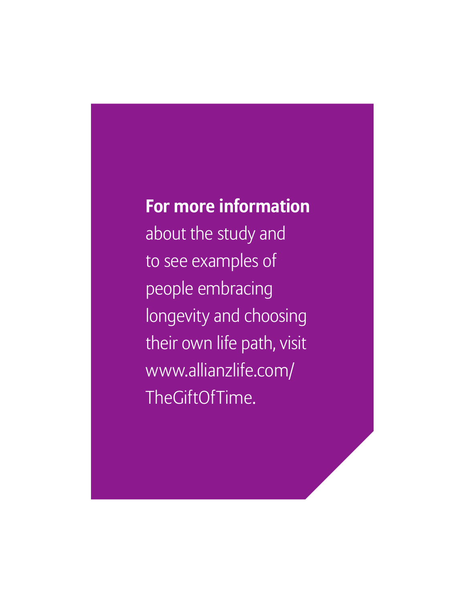#### **For more information**

about the study and to see examples of people embracing longevity and choosing their own life path, visit www.allianzlife.com/ TheGiftOfTime.